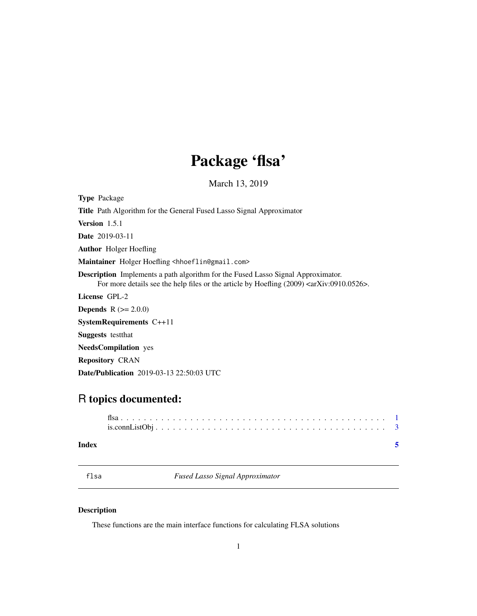## Package 'flsa'

March 13, 2019

<span id="page-0-0"></span>

| <b>Type Package</b>                                                                                                                                                                                       |
|-----------------------------------------------------------------------------------------------------------------------------------------------------------------------------------------------------------|
| <b>Title</b> Path Algorithm for the General Fused Lasso Signal Approximator                                                                                                                               |
| <b>Version</b> $1.5.1$                                                                                                                                                                                    |
| <b>Date</b> 2019-03-11                                                                                                                                                                                    |
| <b>Author</b> Holger Hoefling                                                                                                                                                                             |
| Maintainer Holger Hoefling <hhoeflin@gmail.com></hhoeflin@gmail.com>                                                                                                                                      |
| <b>Description</b> Implements a path algorithm for the Fused Lasso Signal Approximator.<br>For more details see the help files or the article by Hoefling $(2009)$ <aarxiv:0910.0526>.</aarxiv:0910.0526> |
| License GPL-2                                                                                                                                                                                             |
| <b>Depends</b> $R (= 2.0.0)$                                                                                                                                                                              |
| SystemRequirements $C++11$                                                                                                                                                                                |
| <b>Suggests</b> test that                                                                                                                                                                                 |
| <b>NeedsCompilation</b> yes                                                                                                                                                                               |
| <b>Repository CRAN</b>                                                                                                                                                                                    |
| <b>Date/Publication</b> 2019-03-13 22:50:03 UTC                                                                                                                                                           |

### R topics documented:

| Index |  |
|-------|--|

flsa *Fused Lasso Signal Approximator*

### Description

These functions are the main interface functions for calculating FLSA solutions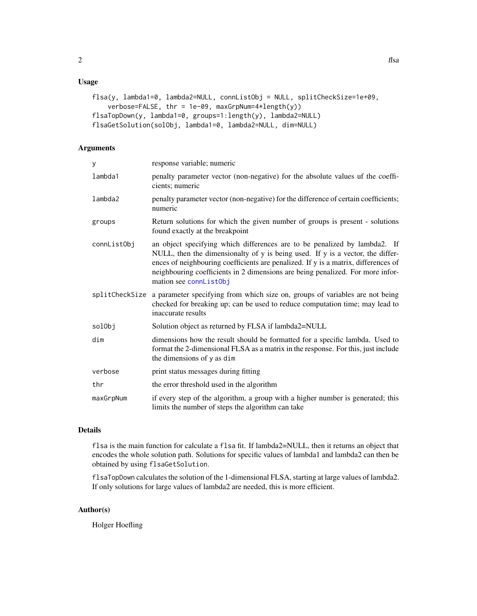#### <span id="page-1-0"></span>Usage

```
flsa(y, lambda1=0, lambda2=NULL, connListObj = NULL, splitCheckSize=1e+09,
   verbose=FALSE, thr = 1e-09, maxGrpNum=4*length(y))
flsaTopDown(y, lambda1=0, groups=1:length(y), lambda2=NULL)
flsaGetSolution(solObj, lambda1=0, lambda2=NULL, dim=NULL)
```
#### Arguments

| y              | response variable; numeric                                                                                                                                                                                                                                                                                                                                    |
|----------------|---------------------------------------------------------------------------------------------------------------------------------------------------------------------------------------------------------------------------------------------------------------------------------------------------------------------------------------------------------------|
| lambda1        | penalty parameter vector (non-negative) for the absolute values uf the coeffi-<br>cients; numeric                                                                                                                                                                                                                                                             |
| lambda2        | penalty parameter vector (non-negative) for the difference of certain coefficients;<br>numeric                                                                                                                                                                                                                                                                |
| groups         | Return solutions for which the given number of groups is present - solutions<br>found exactly at the breakpoint                                                                                                                                                                                                                                               |
| connListObj    | an object specifying which differences are to be penalized by lambda2. If<br>NULL, then the dimensionalty of y is being used. If y is a vector, the differ-<br>ences of neighbouring coefficients are penalized. If y is a matrix, differences of<br>neighbouring coefficients in 2 dimensions are being penalized. For more infor-<br>mation see connListObj |
| splitCheckSize | a parameter specifying from which size on, groups of variables are not being<br>checked for breaking up; can be used to reduce computation time; may lead to<br>inaccurate results                                                                                                                                                                            |
| solObj         | Solution object as returned by FLSA if lambda2=NULL                                                                                                                                                                                                                                                                                                           |
| dim            | dimensions how the result should be formatted for a specific lambda. Used to<br>format the 2-dimensional FLSA as a matrix in the response. For this, just include<br>the dimensions of y as dim                                                                                                                                                               |
| verbose        | print status messages during fitting                                                                                                                                                                                                                                                                                                                          |
| thr            | the error threshold used in the algorithm                                                                                                                                                                                                                                                                                                                     |
| maxGrpNum      | if every step of the algorithm, a group with a higher number is generated; this<br>limits the number of steps the algorithm can take                                                                                                                                                                                                                          |

#### Details

flsa is the main function for calculate a flsa fit. If lambda2=NULL, then it returns an object that encodes the whole solution path. Solutions for specific values of lambda1 and lambda2 can then be obtained by using flsaGetSolution.

flsaTopDown calculates the solution of the 1-dimensional FLSA, starting at large values of lambda2. If only solutions for large values of lambda2 are needed, this is more efficient.

#### Author(s)

Holger Hoefling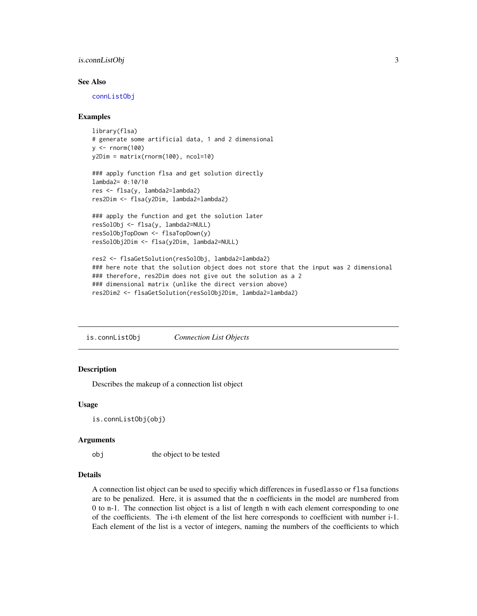#### <span id="page-2-0"></span>is.connListObj 3

#### See Also

[connListObj](#page-2-1)

#### Examples

```
library(flsa)
# generate some artificial data, 1 and 2 dimensional
y \le - rnorm(100)
y2Dim = matrix(rnorm(100), ncol=10)
### apply function flsa and get solution directly
lambda2= 0:10/10
res <- flsa(y, lambda2=lambda2)
res2Dim <- flsa(y2Dim, lambda2=lambda2)
### apply the function and get the solution later
resSolObj <- flsa(y, lambda2=NULL)
resSolObjTopDown <- flsaTopDown(y)
resSolObj2Dim <- flsa(y2Dim, lambda2=NULL)
res2 <- flsaGetSolution(resSolObj, lambda2=lambda2)
### here note that the solution object does not store that the input was 2 dimensional
### therefore, res2Dim does not give out the solution as a 2
```
### dimensional matrix (unlike the direct version above)

res2Dim2 <- flsaGetSolution(resSolObj2Dim, lambda2=lambda2)

is.connListObj *Connection List Objects*

#### <span id="page-2-1"></span>**Description**

Describes the makeup of a connection list object

#### Usage

is.connListObj(obj)

#### Arguments

obj the object to be tested

#### Details

A connection list object can be used to specifiy which differences in fusedlasso or flsa functions are to be penalized. Here, it is assumed that the n coefficients in the model are numbered from 0 to n-1. The connection list object is a list of length n with each element corresponding to one of the coefficients. The i-th element of the list here corresponds to coefficient with number i-1. Each element of the list is a vector of integers, naming the numbers of the coefficients to which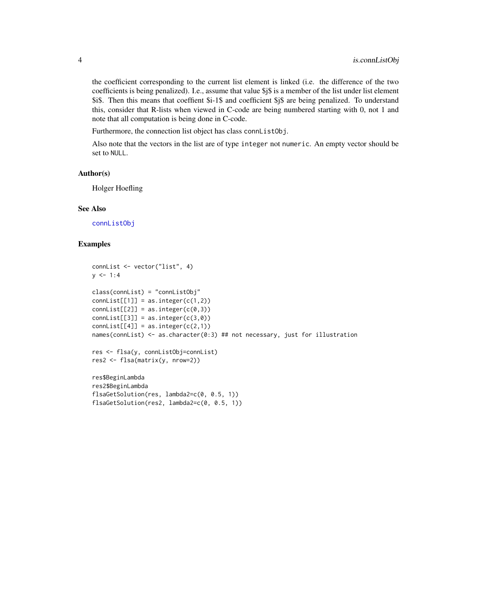the coefficient corresponding to the current list element is linked (i.e. the difference of the two coefficients is being penalized). I.e., assume that value \$j\$ is a member of the list under list element \$i\$. Then this means that coeffient \$i-1\$ and coefficient \$j\$ are being penalized. To understand this, consider that R-lists when viewed in C-code are being numbered starting with 0, not 1 and note that all computation is being done in C-code.

Furthermore, the connection list object has class connListObj.

Also note that the vectors in the list are of type integer not numeric. An empty vector should be set to NULL.

#### Author(s)

Holger Hoefling

#### See Also

[connListObj](#page-2-1)

#### Examples

```
connList <- vector("list", 4)
y \le -1:4class(connList) = "connListObj"
connList[[1]] = as.integer(c(1,2))connList[[2]] = as.integer(c(0,3))connList[[3]] = as.integer(c(3,0))connList[[4]] = as.integer(c(2,1))names(connList) <- as.character(0:3) ## not necessary, just for illustration
res <- flsa(y, connListObj=connList)
res2 <- flsa(matrix(y, nrow=2))
res$BeginLambda
res2$BeginLambda
flsaGetSolution(res, lambda2=c(0, 0.5, 1))
flsaGetSolution(res2, lambda2=c(0, 0.5, 1))
```
<span id="page-3-0"></span>